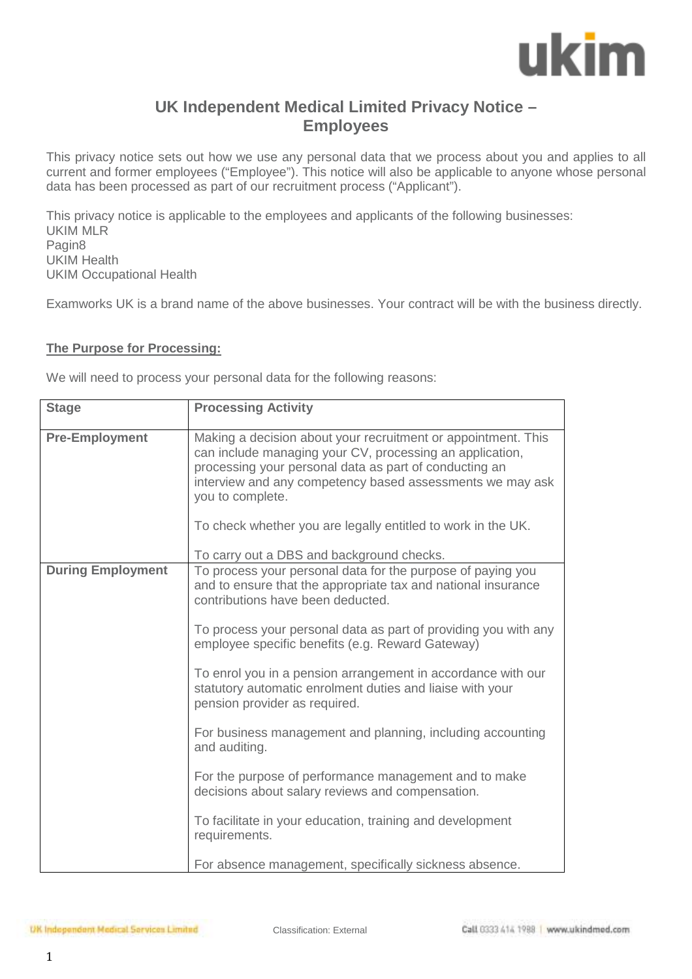## ukim

### **UK Independent Medical Limited Privacy Notice – Employees**

This privacy notice sets out how we use any personal data that we process about you and applies to all current and former employees ("Employee"). This notice will also be applicable to anyone whose personal data has been processed as part of our recruitment process ("Applicant").

This privacy notice is applicable to the employees and applicants of the following businesses: UKIM MLR Pagin8 UKIM Health UKIM Occupational Health

Examworks UK is a brand name of the above businesses. Your contract will be with the business directly.

#### **The Purpose for Processing:**

We will need to process your personal data for the following reasons:

| <b>Stage</b>             | <b>Processing Activity</b>                                                                                                                                                                                                                                                                                                                                                                                                                                                                                                                                                                                                                                                                                                                                                                 |
|--------------------------|--------------------------------------------------------------------------------------------------------------------------------------------------------------------------------------------------------------------------------------------------------------------------------------------------------------------------------------------------------------------------------------------------------------------------------------------------------------------------------------------------------------------------------------------------------------------------------------------------------------------------------------------------------------------------------------------------------------------------------------------------------------------------------------------|
| <b>Pre-Employment</b>    | Making a decision about your recruitment or appointment. This<br>can include managing your CV, processing an application,<br>processing your personal data as part of conducting an<br>interview and any competency based assessments we may ask<br>you to complete.<br>To check whether you are legally entitled to work in the UK.<br>To carry out a DBS and background checks.                                                                                                                                                                                                                                                                                                                                                                                                          |
| <b>During Employment</b> | To process your personal data for the purpose of paying you<br>and to ensure that the appropriate tax and national insurance<br>contributions have been deducted.<br>To process your personal data as part of providing you with any<br>employee specific benefits (e.g. Reward Gateway)<br>To enrol you in a pension arrangement in accordance with our<br>statutory automatic enrolment duties and liaise with your<br>pension provider as required.<br>For business management and planning, including accounting<br>and auditing.<br>For the purpose of performance management and to make<br>decisions about salary reviews and compensation.<br>To facilitate in your education, training and development<br>requirements.<br>For absence management, specifically sickness absence. |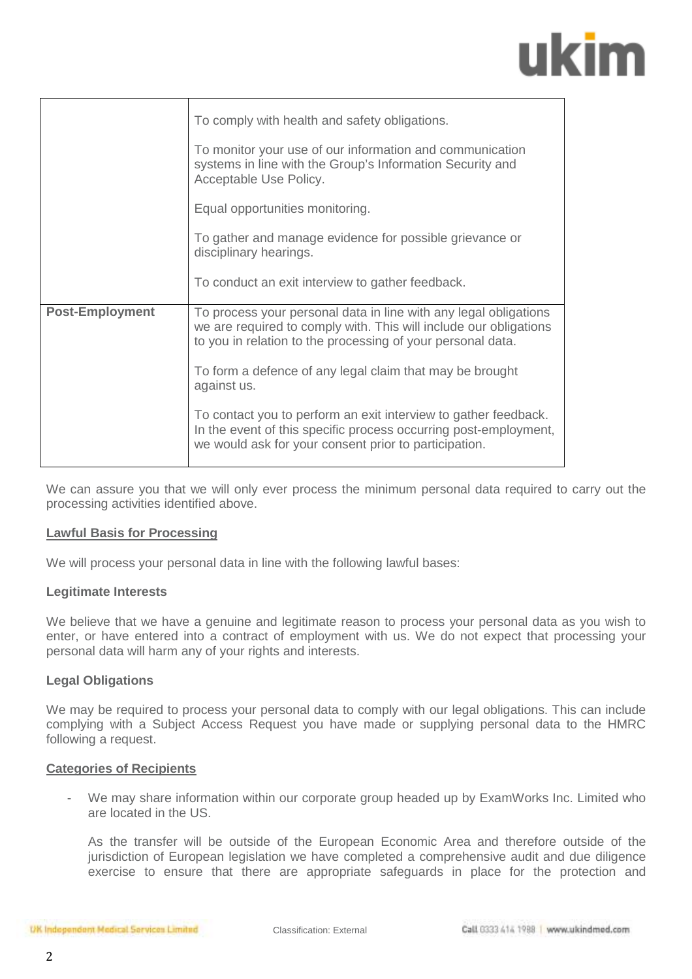# ukim

|                        | To comply with health and safety obligations.                                                                                                                                                        |
|------------------------|------------------------------------------------------------------------------------------------------------------------------------------------------------------------------------------------------|
|                        | To monitor your use of our information and communication<br>systems in line with the Group's Information Security and<br>Acceptable Use Policy.                                                      |
|                        | Equal opportunities monitoring.                                                                                                                                                                      |
|                        | To gather and manage evidence for possible grievance or<br>disciplinary hearings.                                                                                                                    |
|                        | To conduct an exit interview to gather feedback.                                                                                                                                                     |
| <b>Post-Employment</b> | To process your personal data in line with any legal obligations<br>we are required to comply with. This will include our obligations<br>to you in relation to the processing of your personal data. |
|                        | To form a defence of any legal claim that may be brought<br>against us.                                                                                                                              |
|                        | To contact you to perform an exit interview to gather feedback.<br>In the event of this specific process occurring post-employment,<br>we would ask for your consent prior to participation.         |

We can assure you that we will only ever process the minimum personal data required to carry out the processing activities identified above.

#### **Lawful Basis for Processing**

We will process your personal data in line with the following lawful bases:

#### **Legitimate Interests**

We believe that we have a genuine and legitimate reason to process your personal data as you wish to enter, or have entered into a contract of employment with us. We do not expect that processing your personal data will harm any of your rights and interests.

#### **Legal Obligations**

We may be required to process your personal data to comply with our legal obligations. This can include complying with a Subject Access Request you have made or supplying personal data to the HMRC following a request.

#### **Categories of Recipients**

- We may share information within our corporate group headed up by ExamWorks Inc. Limited who are located in the US.

As the transfer will be outside of the European Economic Area and therefore outside of the jurisdiction of European legislation we have completed a comprehensive audit and due diligence exercise to ensure that there are appropriate safeguards in place for the protection and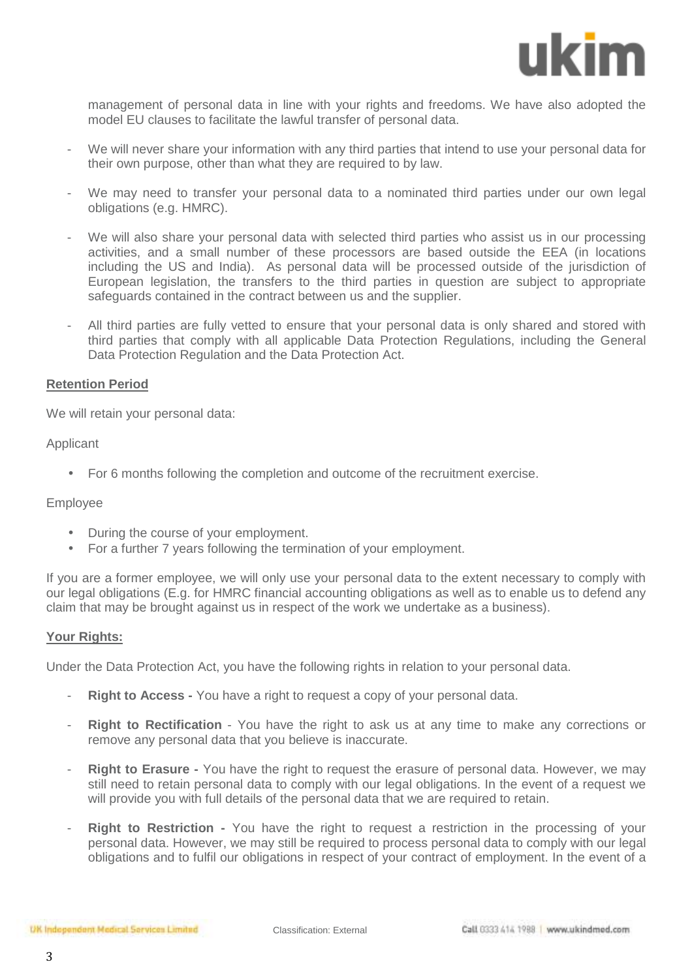

management of personal data in line with your rights and freedoms. We have also adopted the model EU clauses to facilitate the lawful transfer of personal data.

- We will never share your information with any third parties that intend to use your personal data for their own purpose, other than what they are required to by law.
- We may need to transfer your personal data to a nominated third parties under our own legal obligations (e.g. HMRC).
- We will also share your personal data with selected third parties who assist us in our processing activities, and a small number of these processors are based outside the EEA (in locations including the US and India). As personal data will be processed outside of the jurisdiction of European legislation, the transfers to the third parties in question are subject to appropriate safeguards contained in the contract between us and the supplier.
- All third parties are fully vetted to ensure that your personal data is only shared and stored with third parties that comply with all applicable Data Protection Regulations, including the General Data Protection Regulation and the Data Protection Act.

#### **Retention Period**

We will retain your personal data:

#### Applicant

• For 6 months following the completion and outcome of the recruitment exercise.

#### Employee

- During the course of your employment.
- For a further 7 years following the termination of your employment.

If you are a former employee, we will only use your personal data to the extent necessary to comply with our legal obligations (E.g. for HMRC financial accounting obligations as well as to enable us to defend any claim that may be brought against us in respect of the work we undertake as a business).

#### **Your Rights:**

Under the Data Protection Act, you have the following rights in relation to your personal data.

- **Right to Access -** You have a right to request a copy of your personal data.
- **Right to Rectification** You have the right to ask us at any time to make any corrections or remove any personal data that you believe is inaccurate.
- **Right to Erasure -** You have the right to request the erasure of personal data. However, we may still need to retain personal data to comply with our legal obligations. In the event of a request we will provide you with full details of the personal data that we are required to retain.
- **Right to Restriction** You have the right to request a restriction in the processing of your personal data. However, we may still be required to process personal data to comply with our legal obligations and to fulfil our obligations in respect of your contract of employment. In the event of a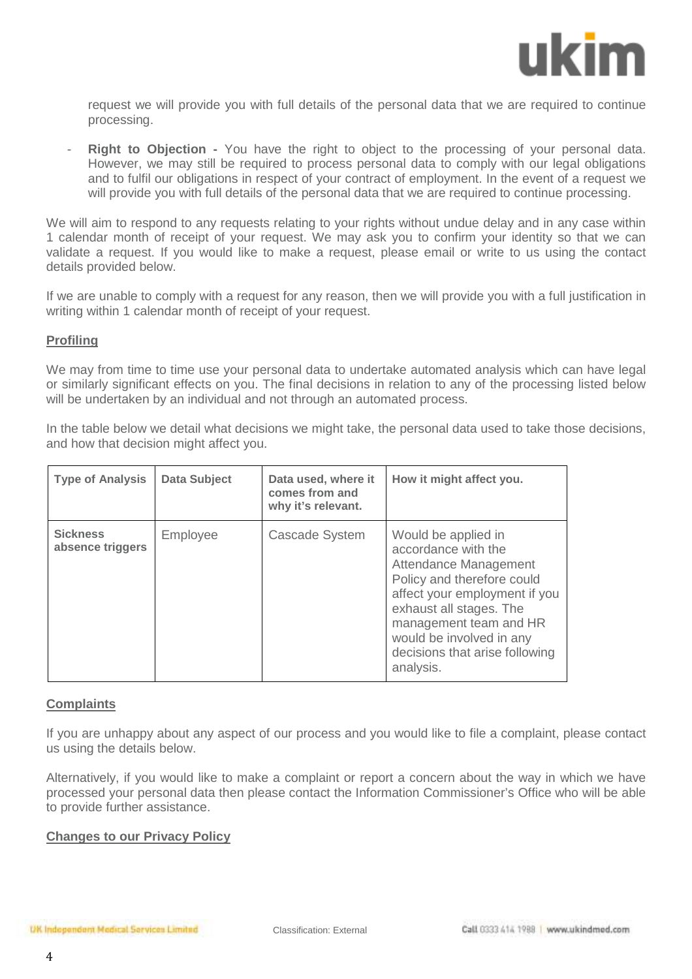

request we will provide you with full details of the personal data that we are required to continue processing.

**Right to Objection -** You have the right to object to the processing of your personal data. However, we may still be required to process personal data to comply with our legal obligations and to fulfil our obligations in respect of your contract of employment. In the event of a request we will provide you with full details of the personal data that we are required to continue processing.

We will aim to respond to any requests relating to your rights without undue delay and in any case within 1 calendar month of receipt of your request. We may ask you to confirm your identity so that we can validate a request. If you would like to make a request, please email or write to us using the contact details provided below.

If we are unable to comply with a request for any reason, then we will provide you with a full justification in writing within 1 calendar month of receipt of your request.

#### **Profiling**

We may from time to time use your personal data to undertake automated analysis which can have legal or similarly significant effects on you. The final decisions in relation to any of the processing listed below will be undertaken by an individual and not through an automated process.

In the table below we detail what decisions we might take, the personal data used to take those decisions, and how that decision might affect you.

| <b>Type of Analysis</b>             | <b>Data Subject</b> | Data used, where it<br>comes from and<br>why it's relevant. | How it might affect you.                                                                                                                                                                                                                                           |
|-------------------------------------|---------------------|-------------------------------------------------------------|--------------------------------------------------------------------------------------------------------------------------------------------------------------------------------------------------------------------------------------------------------------------|
| <b>Sickness</b><br>absence triggers | Employee            | Cascade System                                              | Would be applied in<br>accordance with the<br>Attendance Management<br>Policy and therefore could<br>affect your employment if you<br>exhaust all stages. The<br>management team and HR<br>would be involved in any<br>decisions that arise following<br>analysis. |

#### **Complaints**

If you are unhappy about any aspect of our process and you would like to file a complaint, please contact us using the details below.

Alternatively, if you would like to make a complaint or report a concern about the way in which we have processed your personal data then please contact the Information Commissioner's Office who will be able to provide further assistance.

#### **Changes to our Privacy Policy**